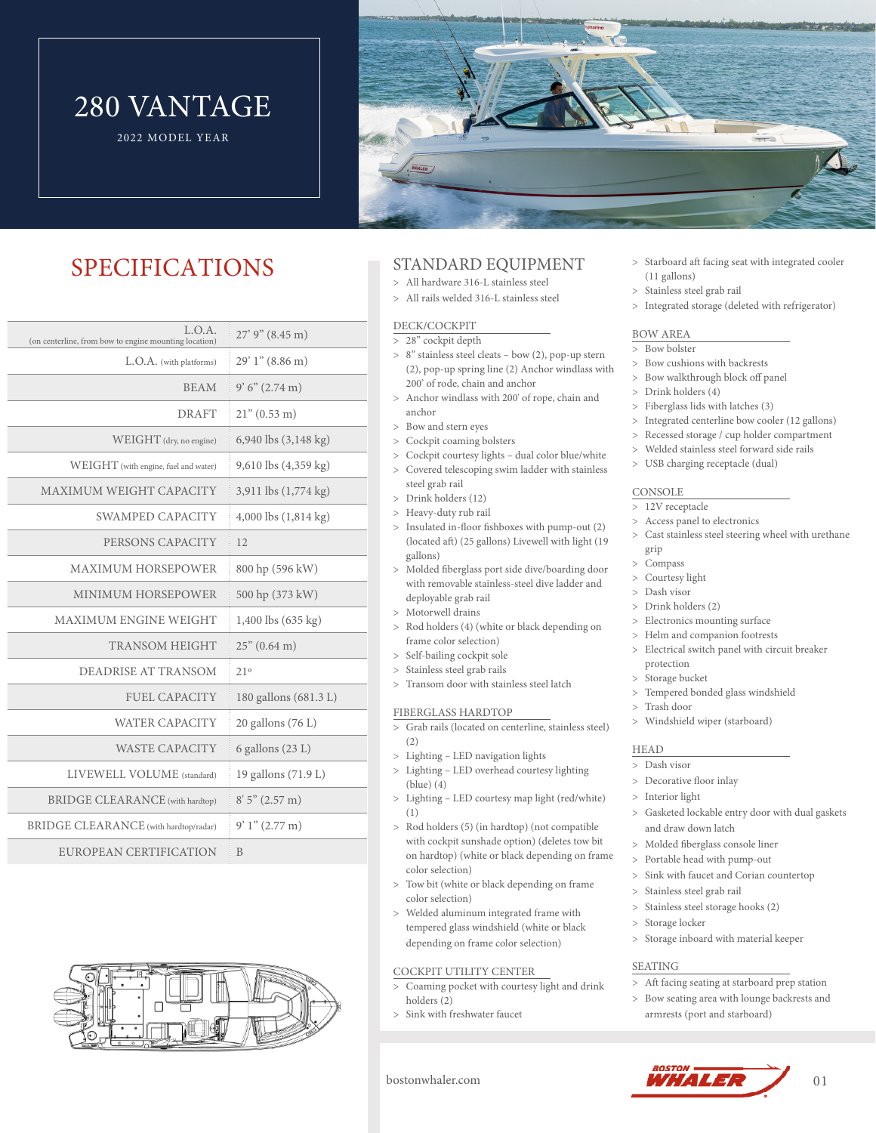# 280 VANTAGE

2022 MODEL YEAR



# SPECIFICATIONS

| L.O.A.<br>$27'$ 9" (8.45 m)      | (on centerline, from bow to engine mounting location) |
|----------------------------------|-------------------------------------------------------|
| $29'1''$ (8.86 m)                | L.O.A. (with platforms)                               |
| 9'6''(2.74 m)<br><b>BEAM</b>     |                                                       |
| $21^{\circ}$ (0.53 m)            | <b>DRAFT</b>                                          |
| 6,940 lbs $(3,148 \text{ kg})$   | WEIGHT (dry, no engine)                               |
| 9,610 lbs (4,359 kg)             | WEIGHT (with engine, fuel and water)                  |
| 3,911 lbs (1,774 kg)             | MAXIMUM WEIGHT CAPACITY                               |
| $4,000$ lbs $(1,814 \text{ kg})$ | <b>SWAMPED CAPACITY</b>                               |
| 12                               | PERSONS CAPACITY                                      |
| 800 hp (596 kW)                  | <b>MAXIMUM HORSEPOWER</b>                             |
| 500 hp (373 kW)                  | <b>MINIMUM HORSEPOWER</b>                             |
| 1,400 lbs (635 kg)               | <b>MAXIMUM ENGINE WEIGHT</b>                          |
| $25$ " (0.64 m)                  | <b>TRANSOM HEIGHT</b>                                 |
| 21°                              | DEADRISE AT TRANSOM                                   |
| 180 gallons (681.3 L)            | <b>FUEL CAPACITY</b>                                  |
| 20 gallons (76 L)                | <b>WATER CAPACITY</b>                                 |
| 6 gallons $(23 L)$               | <b>WASTE CAPACITY</b>                                 |
| 19 gallons (71.9 L)              | LIVEWELL VOLUME (standard)                            |
| 8'5''(2.57 m)                    | <b>BRIDGE CLEARANCE</b> (with hardtop)                |
| $9'1''(2.77 \text{ m})$          | BRIDGE CLEARANCE (with hardtop/radar)                 |
| B                                | EUROPEAN CERTIFICATION                                |
|                                  |                                                       |



# STANDARD EQUIPMENT

- All hardware 316-L stainless steel All rails welded 316-L stainless steel
- 

### DECK/COCKPIT

- > 28" cockpit depth 8" stainless steel cleats – bow (2), pop-up stern
- (2), pop-up spring line (2) Anchor windlass with 200' of rode, chain and anchor Anchor windlass with 200' of rope, chain and
- anchor
- Bow and stern eyes
- Cockpit coaming bolsters
- Cockpit courtesy lights dual color blue/white
- Covered telescoping swim ladder with stainless steel grab rail
- Drink holders (12)
- > Heavy-duty rub rail
- Insulated in-floor fishboxes with pump-out (2) (located aft) (25 gallons) Livewell with light (19 gallons)
- Molded fiberglass port side dive/boarding door with removable stainless-steel dive ladder and deployable grab rail
- > Motorwell drains
- Rod holders (4) (white or black depending on frame color selection)
- > Self-bailing cockpit sole
- > Stainless steel grab rails
- > Transom door with stainless steel latch

#### FIBERGLASS HARDTOP

- Grab rails (located on centerline, stainless steel)  $(2)$
- Lighting LED navigation lights
- Lighting LED overhead courtesy lighting (blue) (4)
- Lighting LED courtesy map light (red/white) (1)
- Rod holders (5) (in hardtop) (not compatible with cockpit sunshade option) (deletes tow bit on hardtop) (white or black depending on frame color selection)
- Tow bit (white or black depending on frame color selection)
- Welded aluminum integrated frame with tempered glass windshield (white or black depending on frame color selection)

## COCKPIT UTILITY CENTER

- > Coaming pocket with courtesy light and drink holders (2)
- Sink with freshwater faucet
- > Starboard aft facing seat with integrated cooler (11 gallons)
- > Stainless steel grab rail
- Integrated storage (deleted with refrigerator)

#### BOW AREA

- > Bow bolster
- Bow cushions with backrests
- Bow walkthrough block off panel
- Drink holders (4)
- Fiberglass lids with latches (3)
- Integrated centerline bow cooler (12 gallons)
- Recessed storage / cup holder compartment
- Welded stainless steel forward side rails
- USB charging receptacle (dual)

#### **CONSOLE**

- > 12V receptacle
- Access panel to electronics
- Cast stainless steel steering wheel with urethane grip
- Compass
- Courtesy light
- Dash visor
- Drink holders (2)
- Electronics mounting surface
- > Helm and companion footrests
- Electrical switch panel with circuit breaker protection
- > Storage bucket
- Tempered bonded glass windshield
- Trash door
- Windshield wiper (starboard)

### HEAD

- Dash visor
- Decorative floor inlay
- > Interior light
- Gasketed lockable entry door with dual gaskets and draw down latch
- > Molded fiberglass console liner
- Portable head with pump-out
- Sink with faucet and Corian countertop
- Stainless steel grab rail
- > Stainless steel storage hooks (2)
- > Storage locker
- > Storage inboard with material keeper

#### SEATING

- > Aft facing seating at starboard prep station
- Bow seating area with lounge backrests and armrests (port and starboard)



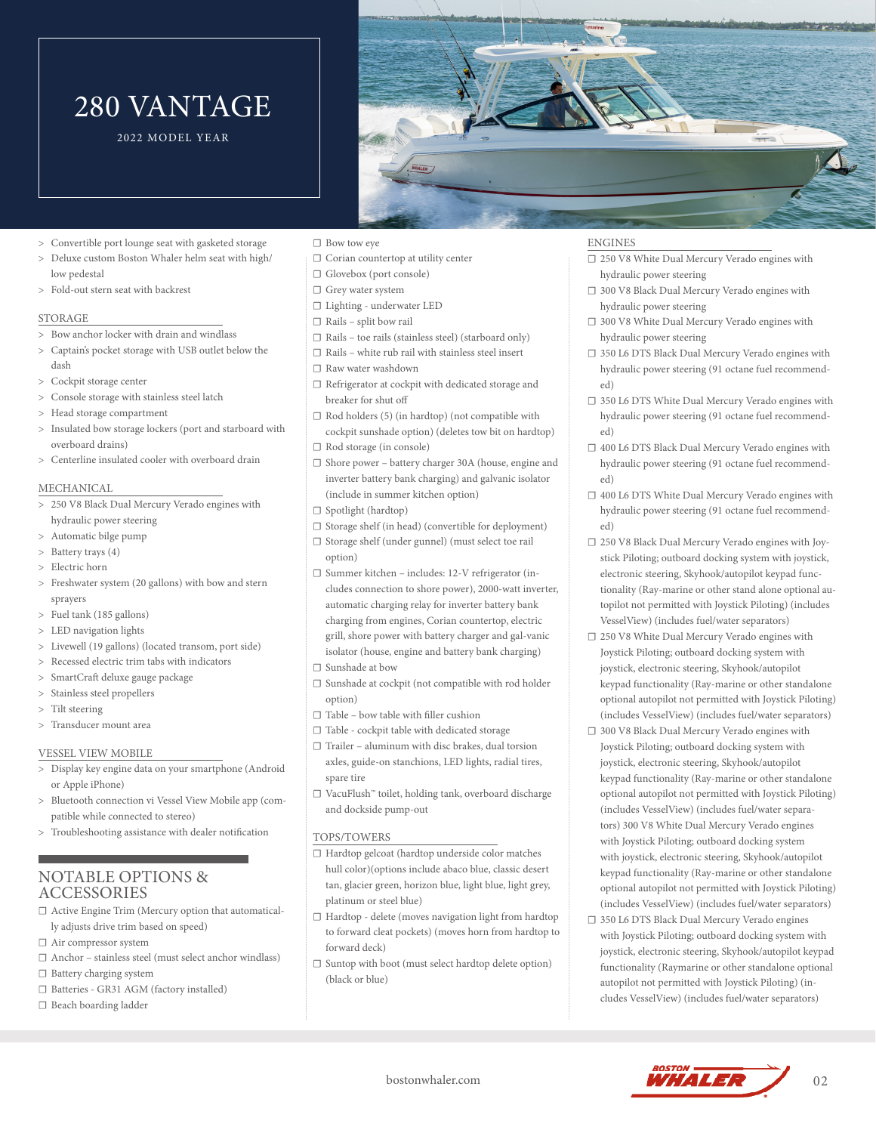# 280 VANTAGE

2022 MODEL YEAR



- Convertible port lounge seat with gasketed storage
- Deluxe custom Boston Whaler helm seat with high/ low pedestal
- Fold-out stern seat with backrest

#### STORAGE

- Bow anchor locker with drain and windlass
- Captain's pocket storage with USB outlet below the dash
- Cockpit storage center
- Console storage with stainless steel latch
- Head storage compartment
- > Insulated bow storage lockers (port and starboard with overboard drains)
- Centerline insulated cooler with overboard drain

#### MECHANICAL

- 250 V8 Black Dual Mercury Verado engines with hydraulic power steering
- Automatic bilge pump
- > Battery trays (4)
- Electric horn
- Freshwater system (20 gallons) with bow and stern sprayers
- Fuel tank (185 gallons)
- LED navigation lights
- Livewell (19 gallons) (located transom, port side)
- > Recessed electric trim tabs with indicators
- > SmartCraft deluxe gauge package
- > Stainless steel propellers
- > Tilt steering
- Transducer mount area

#### VESSEL VIEW MOBILE

- Display key engine data on your smartphone (Android or Apple iPhone)
- > Bluetooth connection vi Vessel View Mobile app (compatible while connected to stereo)
- Troubleshooting assistance with dealer notification

## NOTABLE OPTIONS & **ACCESSORIES**

- □ Active Engine Trim (Mercury option that automatically adjusts drive trim based on speed)
- ☐ Air compressor system
- ☐ Anchor stainless steel (must select anchor windlass)
- ☐ Battery charging system
- ☐ Batteries GR31 AGM (factory installed)
- ☐ Beach boarding ladder
- ☐ Bow tow eye
- ☐ Corian countertop at utility center
- ☐ Glovebox (port console)
- ☐ Grey water system
- ☐ Lighting underwater LED
- ☐ Rails split bow rail
- $\Box$  Rails toe rails (stainless steel) (starboard only)  $\Box$  Rails – white rub rail with stainless steel insert
- ☐ Raw water washdown
- ☐ Refrigerator at cockpit with dedicated storage and breaker for shut off
- $\Box$  Rod holders (5) (in hardtop) (not compatible with cockpit sunshade option) (deletes tow bit on hardtop) ☐ Rod storage (in console)
- ☐ Shore power battery charger 30A (house, engine and
- inverter battery bank charging) and galvanic isolator (include in summer kitchen option)
- ☐ Spotlight (hardtop)
- ☐ Storage shelf (in head) (convertible for deployment)
- ☐ Storage shelf (under gunnel) (must select toe rail option)
- ☐ Summer kitchen includes: 12-V refrigerator (includes connection to shore power), 2000-watt inverter, automatic charging relay for inverter battery bank charging from engines, Corian countertop, electric grill, shore power with battery charger and gal-vanic isolator (house, engine and battery bank charging)
- ☐ Sunshade at bow
- ☐ Sunshade at cockpit (not compatible with rod holder option)
- ☐ Table bow table with filler cushion
- ☐ Table cockpit table with dedicated storage  $\Box$  Trailer – aluminum with disc brakes, dual torsion
- axles, guide-on stanchions, LED lights, radial tires, spare tire
- ☐ VacuFlush™ toilet, holding tank, overboard discharge and dockside pump-out

#### TOPS/TOWERS

- ☐ Hardtop gelcoat (hardtop underside color matches hull color)(options include abaco blue, classic desert tan, glacier green, horizon blue, light blue, light grey, platinum or steel blue)
- ☐ Hardtop delete (moves navigation light from hardtop to forward cleat pockets) (moves horn from hardtop to forward deck)
- ☐ Suntop with boot (must select hardtop delete option) (black or blue)

## ENGINES

- ☐ 250 V8 White Dual Mercury Verado engines with hydraulic power steering
- ☐ 300 V8 Black Dual Mercury Verado engines with hydraulic power steering
- ☐ 300 V8 White Dual Mercury Verado engines with hydraulic power steering
- ☐ 350 L6 DTS Black Dual Mercury Verado engines with hydraulic power steering (91 octane fuel recommended)
- ☐ 350 L6 DTS White Dual Mercury Verado engines with hydraulic power steering (91 octane fuel recommended)
- ☐ 400 L6 DTS Black Dual Mercury Verado engines with hydraulic power steering (91 octane fuel recommended)
- ☐ 400 L6 DTS White Dual Mercury Verado engines with hydraulic power steering (91 octane fuel recommended)
- ☐ 250 V8 Black Dual Mercury Verado engines with Joystick Piloting; outboard docking system with joystick, electronic steering, Skyhook/autopilot keypad functionality (Ray-marine or other stand alone optional autopilot not permitted with Joystick Piloting) (includes VesselView) (includes fuel/water separators)
- ☐ 250 V8 White Dual Mercury Verado engines with Joystick Piloting; outboard docking system with joystick, electronic steering, Skyhook/autopilot keypad functionality (Ray-marine or other standalone optional autopilot not permitted with Joystick Piloting) (includes VesselView) (includes fuel/water separators)
- ☐ 300 V8 Black Dual Mercury Verado engines with Joystick Piloting; outboard docking system with joystick, electronic steering, Skyhook/autopilot keypad functionality (Ray-marine or other standalone optional autopilot not permitted with Joystick Piloting) (includes VesselView) (includes fuel/water separators) 300 V8 White Dual Mercury Verado engines with Joystick Piloting; outboard docking system with joystick, electronic steering, Skyhook/autopilot keypad functionality (Ray-marine or other standalone optional autopilot not permitted with Joystick Piloting) (includes VesselView) (includes fuel/water separators)
- ☐ 350 L6 DTS Black Dual Mercury Verado engines with Joystick Piloting; outboard docking system with joystick, electronic steering, Skyhook/autopilot keypad functionality (Raymarine or other standalone optional autopilot not permitted with Joystick Piloting) (includes VesselView) (includes fuel/water separators)